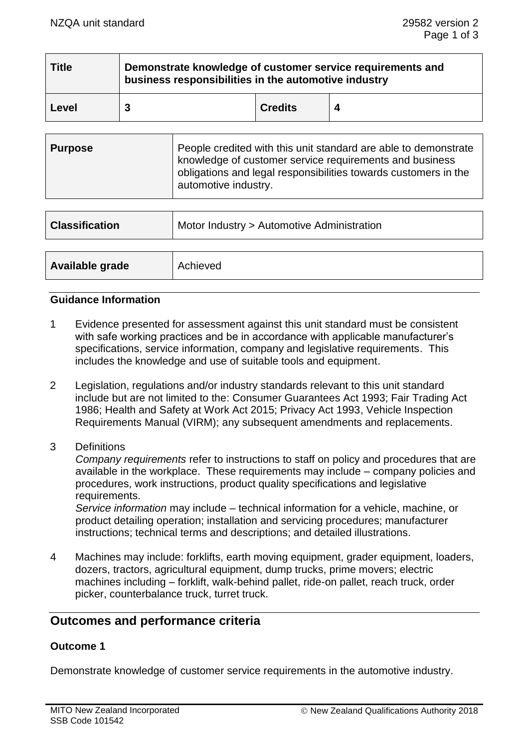| <b>Title</b> | Demonstrate knowledge of customer service requirements and<br>business responsibilities in the automotive industry |                |  |
|--------------|--------------------------------------------------------------------------------------------------------------------|----------------|--|
| Level        |                                                                                                                    | <b>Credits</b> |  |

| <b>Purpose</b> | People credited with this unit standard are able to demonstrate<br>knowledge of customer service requirements and business<br>obligations and legal responsibilities towards customers in the<br>automotive industry. |
|----------------|-----------------------------------------------------------------------------------------------------------------------------------------------------------------------------------------------------------------------|
|----------------|-----------------------------------------------------------------------------------------------------------------------------------------------------------------------------------------------------------------------|

| <b>Classification</b> | Motor Industry > Automotive Administration |  |
|-----------------------|--------------------------------------------|--|
|                       |                                            |  |
| Available grade       | Achieved                                   |  |

#### **Guidance Information**

- 1 Evidence presented for assessment against this unit standard must be consistent with safe working practices and be in accordance with applicable manufacturer's specifications, service information, company and legislative requirements. This includes the knowledge and use of suitable tools and equipment.
- 2 Legislation, regulations and/or industry standards relevant to this unit standard include but are not limited to the: Consumer Guarantees Act 1993; Fair Trading Act 1986; Health and Safety at Work Act 2015; Privacy Act 1993, Vehicle Inspection Requirements Manual (VIRM); any subsequent amendments and replacements.
- 3 Definitions

*Company requirements* refer to instructions to staff on policy and procedures that are available in the workplace. These requirements may include – company policies and procedures, work instructions, product quality specifications and legislative requirements.

*Service information* may include – technical information for a vehicle, machine, or product detailing operation; installation and servicing procedures; manufacturer instructions; technical terms and descriptions; and detailed illustrations.

4 Machines may include: forklifts, earth moving equipment, grader equipment, loaders, dozers, tractors, agricultural equipment, dump trucks, prime movers; electric machines including – forklift, walk-behind pallet, ride-on pallet, reach truck, order picker, counterbalance truck, turret truck.

# **Outcomes and performance criteria**

## **Outcome 1**

Demonstrate knowledge of customer service requirements in the automotive industry.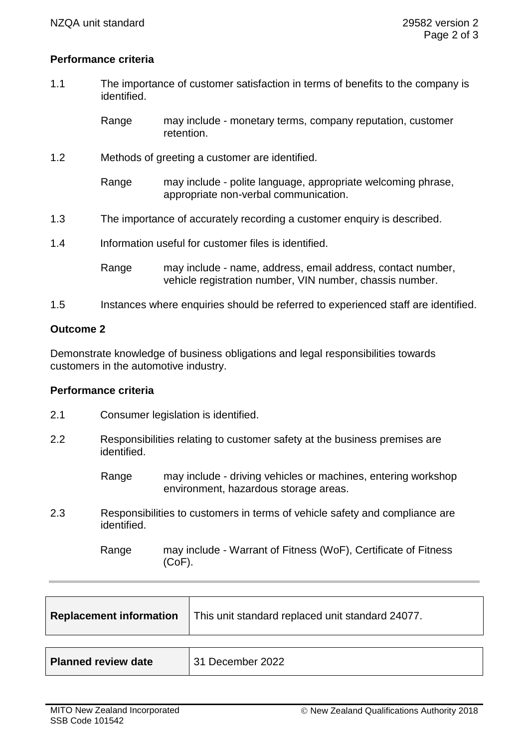## **Performance criteria**

- 1.1 The importance of customer satisfaction in terms of benefits to the company is identified.
	- Range may include monetary terms, company reputation, customer retention.
- 1.2 Methods of greeting a customer are identified.

Range may include - polite language, appropriate welcoming phrase, appropriate non-verbal communication.

- 1.3 The importance of accurately recording a customer enquiry is described.
- 1.4 Information useful for customer files is identified.
	- Range may include name, address, email address, contact number, vehicle registration number, VIN number, chassis number.
- 1.5 Instances where enquiries should be referred to experienced staff are identified.

#### **Outcome 2**

Demonstrate knowledge of business obligations and legal responsibilities towards customers in the automotive industry.

#### **Performance criteria**

- 2.1 Consumer legislation is identified.
- 2.2 Responsibilities relating to customer safety at the business premises are identified.
	- Range may include driving vehicles or machines, entering workshop environment, hazardous storage areas.
- 2.3 Responsibilities to customers in terms of vehicle safety and compliance are identified.

Range may include - Warrant of Fitness (WoF), Certificate of Fitness (CoF).

| <b>Replacement information</b> | This unit standard replaced unit standard 24077. |
|--------------------------------|--------------------------------------------------|
|                                |                                                  |
| <b>Planned review date</b>     | 31 December 2022                                 |